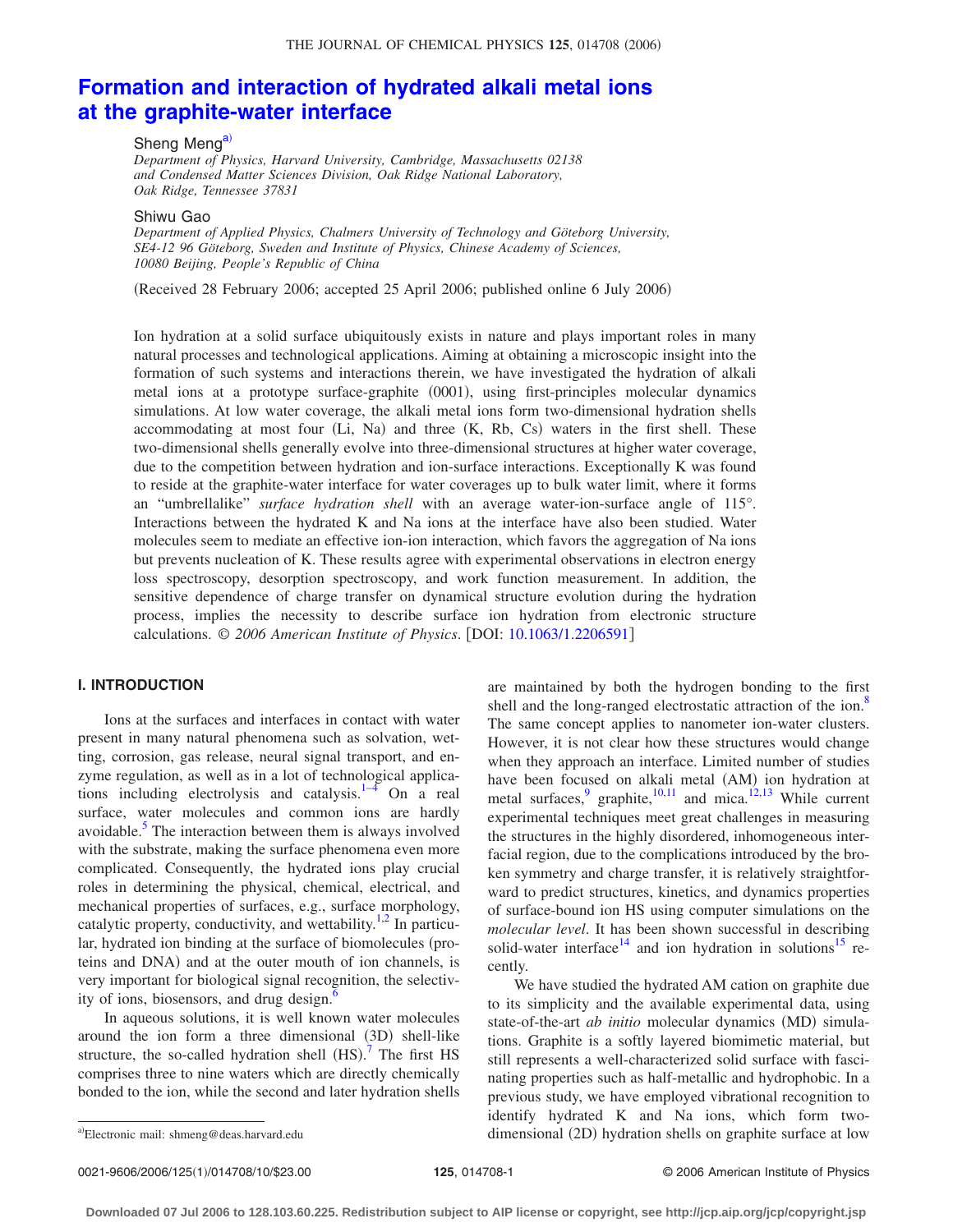# **[Formation and interaction of hydrated alkali metal ions](http://dx.doi.org/10.1063/1.2206591) [at the graphite-water interface](http://dx.doi.org/10.1063/1.2206591)**

Sheng Meng<sup>a)</sup>

*Department of Physics, Harvard University, Cambridge, Massachusetts 02138 and Condensed Matter Sciences Division, Oak Ridge National Laboratory, Oak Ridge, Tennessee 37831*

Shiwu Gao

*Department of Applied Physics, Chalmers University of Technology and Göteborg University, SE4-12 96 Göteborg, Sweden and Institute of Physics, Chinese Academy of Sciences, 10080 Beijing, People's Republic of China*

(Received 28 February 2006; accepted 25 April 2006; published online 6 July 2006)

Ion hydration at a solid surface ubiquitously exists in nature and plays important roles in many natural processes and technological applications. Aiming at obtaining a microscopic insight into the formation of such systems and interactions therein, we have investigated the hydration of alkali metal ions at a prototype surface-graphite (0001), using first-principles molecular dynamics simulations. At low water coverage, the alkali metal ions form two-dimensional hydration shells accommodating at most four (Li, Na) and three (K, Rb, Cs) waters in the first shell. These two-dimensional shells generally evolve into three-dimensional structures at higher water coverage, due to the competition between hydration and ion-surface interactions. Exceptionally K was found to reside at the graphite-water interface for water coverages up to bulk water limit, where it forms an "umbrellalike" *surface hydration shell* with an average water-ion-surface angle of 115°. Interactions between the hydrated K and Na ions at the interface have also been studied. Water molecules seem to mediate an effective ion-ion interaction, which favors the aggregation of Na ions but prevents nucleation of K. These results agree with experimental observations in electron energy loss spectroscopy, desorption spectroscopy, and work function measurement. In addition, the sensitive dependence of charge transfer on dynamical structure evolution during the hydration process, implies the necessity to describe surface ion hydration from electronic structure calculations. © *2006 American Institute of Physics*. DOI: [10.1063/1.2206591](http://dx.doi.org/10.1063/1.2206591)

## **I. INTRODUCTION**

Ions at the surfaces and interfaces in contact with water present in many natural phenomena such as solvation, wetting, corrosion, gas release, neural signal transport, and enzyme regulation, as well as in a lot of technological applications including electrolysis and catalysis. $1-4$  On a real surface, water molecules and common ions are hardly avoidable. $<sup>5</sup>$  The interaction between them is always involved</sup> with the substrate, making the surface phenomena even more complicated. Consequently, the hydrated ions play crucial roles in determining the physical, chemical, electrical, and mechanical properties of surfaces, e.g., surface morphology, catalytic property, conductivity, and wettability.<sup>1,2</sup> In particular, hydrated ion binding at the surface of biomolecules (proteins and DNA) and at the outer mouth of ion channels, is very important for biological signal recognition, the selectivity of ions, biosensors, and drug design.<sup>6</sup>

In aqueous solutions, it is well known water molecules around the ion form a three dimensional (3D) shell-like structure, the so-called hydration shell  $(HS)$ .<sup>[7](#page-9-0)</sup> The first HS comprises three to nine waters which are directly chemically bonded to the ion, while the second and later hydration shells are maintained by both the hydrogen bonding to the first shell and the long-ranged electrostatic attraction of the ion.<sup>8</sup> The same concept applies to nanometer ion-water clusters. However, it is not clear how these structures would change when they approach an interface. Limited number of studies have been focused on alkali metal (AM) ion hydration at metal surfaces, $\frac{9}{2}$  graphite,<sup>10,11</sup> and mica.<sup>12,13</sup> While current experimental techniques meet great challenges in measuring the structures in the highly disordered, inhomogeneous interfacial region, due to the complications introduced by the broken symmetry and charge transfer, it is relatively straightforward to predict structures, kinetics, and dynamics properties of surface-bound ion HS using computer simulations on the *molecular level*. It has been shown successful in describing solid-water interface<sup>14</sup> and ion hydration in solutions<sup>15</sup> recently.

We have studied the hydrated AM cation on graphite due to its simplicity and the available experimental data, using state-of-the-art *ab initio* molecular dynamics (MD) simulations. Graphite is a softly layered biomimetic material, but still represents a well-characterized solid surface with fascinating properties such as half-metallic and hydrophobic. In a previous study, we have employed vibrational recognition to identify hydrated K and Na ions, which form twoa) Electronic mail: shmeng@deas.harvard.edu entity of the dimensional (2D) hydration shells on graphite surface at low

Electronic mail: shmeng@deas.harvard.edu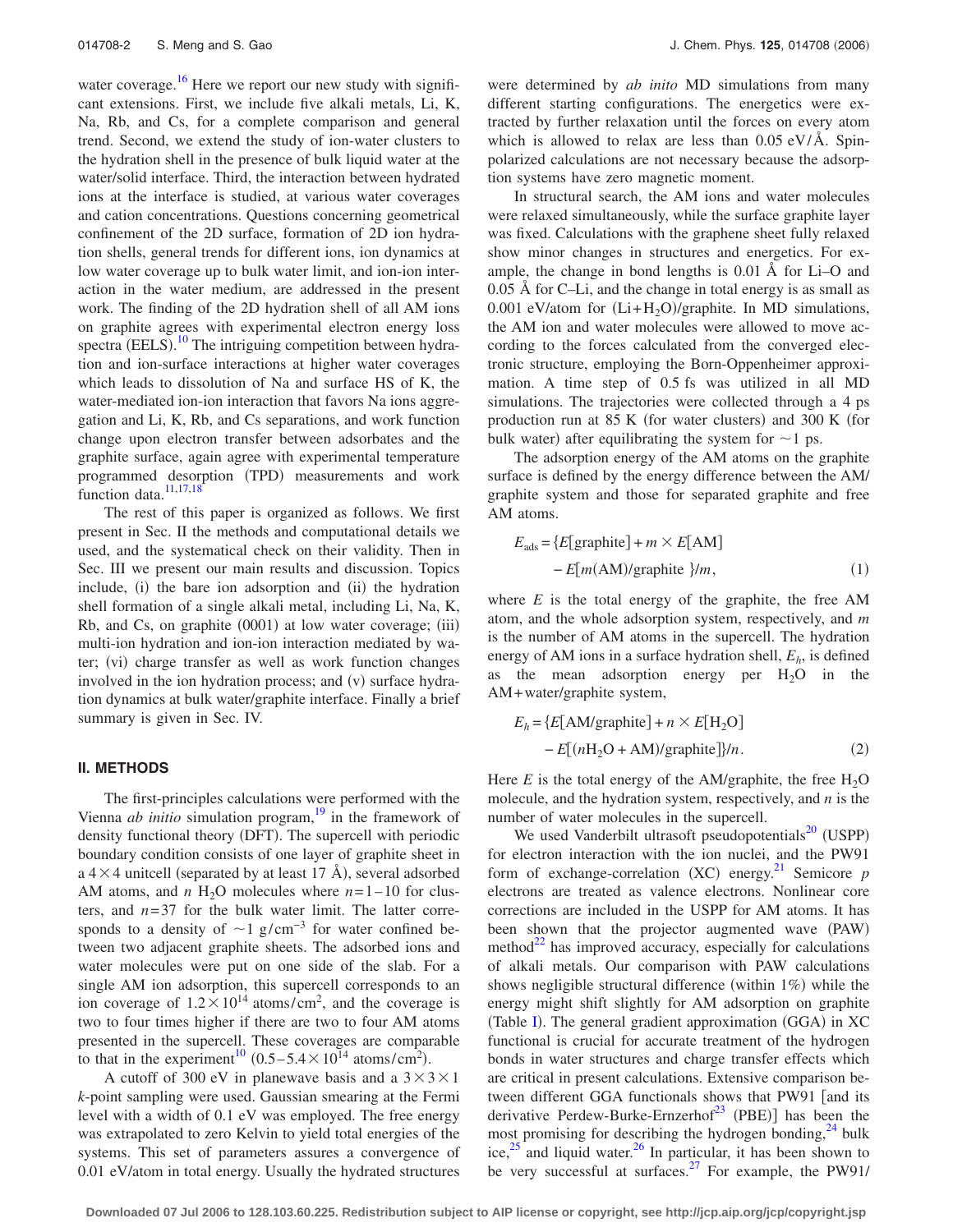water coverage.<sup>16</sup> Here we report our new study with significant extensions. First, we include five alkali metals, Li, K, Na, Rb, and Cs, for a complete comparison and general trend. Second, we extend the study of ion-water clusters to the hydration shell in the presence of bulk liquid water at the water/solid interface. Third, the interaction between hydrated ions at the interface is studied, at various water coverages and cation concentrations. Questions concerning geometrical confinement of the 2D surface, formation of 2D ion hydration shells, general trends for different ions, ion dynamics at low water coverage up to bulk water limit, and ion-ion interaction in the water medium, are addressed in the present work. The finding of the 2D hydration shell of all AM ions on graphite agrees with experimental electron energy loss spectra (EELS).<sup>[10](#page-9-0)</sup> The intriguing competition between hydration and ion-surface interactions at higher water coverages which leads to dissolution of Na and surface HS of K, the water-mediated ion-ion interaction that favors Na ions aggregation and Li, K, Rb, and Cs separations, and work function change upon electron transfer between adsorbates and the graphite surface, again agree with experimental temperature programmed desorption (TPD) measurements and work function data.<sup>11,17,18</sup>

The rest of this paper is organized as follows. We first present in Sec. II the methods and computational details we used, and the systematical check on their validity. Then in Sec. III we present our main results and discussion. Topics include, (i) the bare ion adsorption and (ii) the hydration shell formation of a single alkali metal, including Li, Na, K, Rb, and Cs, on graphite (0001) at low water coverage; (iii) multi-ion hydration and ion-ion interaction mediated by water; (vi) charge transfer as well as work function changes involved in the ion hydration process; and (v) surface hydration dynamics at bulk water/graphite interface. Finally a brief summary is given in Sec. IV.

# **II. METHODS**

The first-principles calculations were performed with the Vienna *ab initio* simulation program,<sup>19</sup> in the framework of density functional theory (DFT). The supercell with periodic boundary condition consists of one layer of graphite sheet in a  $4 \times 4$  unitcell (separated by at least 17 Å), several adsorbed AM atoms, and *n* H<sub>2</sub>O molecules where  $n=1-10$  for clusters, and  $n=37$  for the bulk water limit. The latter corresponds to a density of  $\sim$ 1 g/cm<sup>-3</sup> for water confined between two adjacent graphite sheets. The adsorbed ions and water molecules were put on one side of the slab. For a single AM ion adsorption, this supercell corresponds to an ion coverage of  $1.2 \times 10^{14}$  atoms/cm<sup>2</sup>, and the coverage is two to four times higher if there are two to four AM atoms presented in the supercell. These coverages are comparable to that in the experiment<sup>10</sup> (0.5–5.4 $\times$ 10<sup>14</sup> atoms/cm<sup>2</sup>).

A cutoff of 300 eV in planewave basis and a  $3 \times 3 \times 1$ *k*-point sampling were used. Gaussian smearing at the Fermi level with a width of 0.1 eV was employed. The free energy was extrapolated to zero Kelvin to yield total energies of the systems. This set of parameters assures a convergence of 0.01 eV/atom in total energy. Usually the hydrated structures were determined by *ab inito* MD simulations from many different starting configurations. The energetics were extracted by further relaxation until the forces on every atom which is allowed to relax are less than  $0.05 \text{ eV/A}$ . Spinpolarized calculations are not necessary because the adsorption systems have zero magnetic moment.

In structural search, the AM ions and water molecules were relaxed simultaneously, while the surface graphite layer was fixed. Calculations with the graphene sheet fully relaxed show minor changes in structures and energetics. For example, the change in bond lengths is 0.01 Å for Li–O and 0.05 Å for C–Li, and the change in total energy is as small as 0.001 eV/atom for  $(Li+H<sub>2</sub>O)/graphite$ . In MD simulations, the AM ion and water molecules were allowed to move according to the forces calculated from the converged electronic structure, employing the Born-Oppenheimer approximation. A time step of 0.5 fs was utilized in all MD simulations. The trajectories were collected through a 4 ps production run at 85 K (for water clusters) and 300 K (for bulk water) after equilibrating the system for  $\sim$  1 ps.

The adsorption energy of the AM atoms on the graphite surface is defined by the energy difference between the AM/ graphite system and those for separated graphite and free AM atoms.

$$
E_{ads} = \{E[\text{graphite}] + m \times E[\text{AM}] - E[m(\text{AM})/\text{graphite}]\}/m,\tag{1}
$$

where  $E$  is the total energy of the graphite, the free AM atom, and the whole adsorption system, respectively, and *m* is the number of AM atoms in the supercell. The hydration energy of AM ions in a surface hydration shell, *Eh*, is defined as the mean adsorption energy per  $H_2O$  in the AM+water/graphite system,

$$
E_h = \{E[\text{AM/graphite}] + n \times E[\text{H}_2\text{O}] - E[(n\text{H}_2\text{O} + \text{AM})/\text{graphite}]\}/n.
$$
 (2)

Here  $E$  is the total energy of the AM/graphite, the free  $H_2O$ molecule, and the hydration system, respectively, and *n* is the number of water molecules in the supercell.

We used Vanderbilt ultrasoft pseudopotentials $^{20}$  (USPP) for electron interaction with the ion nuclei, and the PW91 form of exchange-correlation (XC) energy.<sup>[21](#page-9-0)</sup> Semicore *p* electrons are treated as valence electrons. Nonlinear core corrections are included in the USPP for AM atoms. It has been shown that the projector augmented wave (PAW) method $^{22}$  has improved accuracy, especially for calculations of alkali metals. Our comparison with PAW calculations shows negligible structural difference (within 1%) while the energy might shift slightly for AM adsorption on graphite (Table [I](#page-2-0)). The general gradient approximation (GGA) in XC functional is crucial for accurate treatment of the hydrogen bonds in water structures and charge transfer effects which are critical in present calculations. Extensive comparison between different GGA functionals shows that PW91 [and its derivative Perdew-Burke-Ernzerhof<sup>23</sup> (PBE)] has been the most promising for describing the hydrogen bonding, $^{24}$  bulk ice, $25$  and liquid water.<sup>26</sup> In particular, it has been shown to be very successful at surfaces. $27$  For example, the PW91/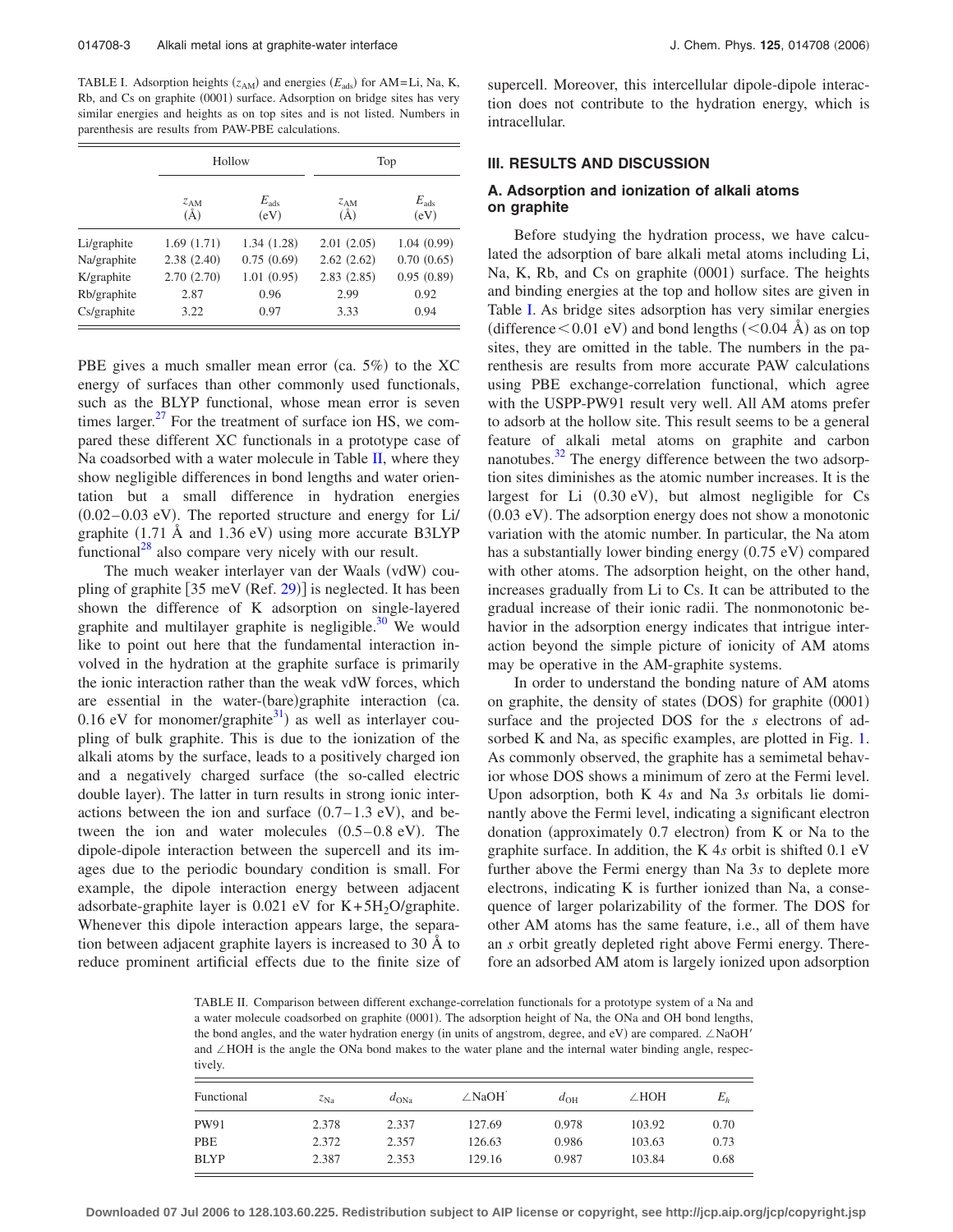<span id="page-2-0"></span>TABLE I. Adsorption heights  $(z_{AM})$  and energies  $(E_{ads})$  for AM=Li, Na, K, Rb, and Cs on graphite (0001) surface. Adsorption on bridge sites has very similar energies and heights as on top sites and is not listed. Numbers in parenthesis are results from PAW-PBE calculations.

|             |                     | Hollow                | Top                 |                       |  |
|-------------|---------------------|-----------------------|---------------------|-----------------------|--|
|             | $Z_{AM}$<br>$(\AA)$ | $E_{\rm ads}$<br>(eV) | $Z_{AM}$<br>$(\AA)$ | $E_{\rm ads}$<br>(eV) |  |
| Li/graphite | 1.69(1.71)          | 1.34(1.28)            | 2.01(2.05)          | 1.04(0.99)            |  |
| Na/graphite | 2.38(2.40)          | 0.75(0.69)            | 2.62(2.62)          | 0.70(0.65)            |  |
| K/graphite  | 2.70(2.70)          | 1.01(0.95)            | 2.83(2.85)          | 0.95(0.89)            |  |
| Rb/graphite | 2.87                | 0.96                  | 2.99                | 0.92                  |  |
| Cs/graphite | 3.22                | 0.97                  | 3.33                | 0.94                  |  |

PBE gives a much smaller mean error (ca.  $5\%$ ) to the XC energy of surfaces than other commonly used functionals, such as the BLYP functional, whose mean error is seven times larger. $27$  For the treatment of surface ion HS, we compared these different XC functionals in a prototype case of Na coadsorbed with a water molecule in Table  $II$ , where they show negligible differences in bond lengths and water orientation but a small difference in hydration energies  $(0.02-0.03$  eV). The reported structure and energy for Li/ graphite  $(1.71 \text{ Å}$  and  $1.36 \text{ eV})$  using more accurate B3LYP functional<sup>28</sup> also compare very nicely with our result.

The much weaker interlayer van der Waals (vdW) coupling of graphite  $[35 \text{ meV (Ref. 29)}]$  $[35 \text{ meV (Ref. 29)}]$  $[35 \text{ meV (Ref. 29)}]$  is neglected. It has been shown the difference of K adsorption on single-layered graphite and multilayer graphite is negligible.<sup>30</sup> We would like to point out here that the fundamental interaction involved in the hydration at the graphite surface is primarily the ionic interaction rather than the weak vdW forces, which are essential in the water-(bare)graphite interaction (ca. 0.16 eV for monomer/graphite<sup>31</sup>) as well as interlayer coupling of bulk graphite. This is due to the ionization of the alkali atoms by the surface, leads to a positively charged ion and a negatively charged surface (the so-called electric double layer). The latter in turn results in strong ionic interactions between the ion and surface  $(0.7-1.3 \text{ eV})$ , and between the ion and water molecules  $(0.5-0.8 \text{ eV})$ . The dipole-dipole interaction between the supercell and its images due to the periodic boundary condition is small. For example, the dipole interaction energy between adjacent adsorbate-graphite layer is  $0.021$  eV for K+5H<sub>2</sub>O/graphite. Whenever this dipole interaction appears large, the separation between adjacent graphite layers is increased to 30 Å to reduce prominent artificial effects due to the finite size of supercell. Moreover, this intercellular dipole-dipole interaction does not contribute to the hydration energy, which is intracellular.

### **III. RESULTS AND DISCUSSION**

## **A. Adsorption and ionization of alkali atoms on graphite**

Before studying the hydration process, we have calculated the adsorption of bare alkali metal atoms including Li, Na, K, Rb, and Cs on graphite (0001) surface. The heights and binding energies at the top and hollow sites are given in Table I. As bridge sites adsorption has very similar energies (difference  $\leq$  0.01 eV) and bond lengths ( $\leq$  0.04 Å) as on top sites, they are omitted in the table. The numbers in the parenthesis are results from more accurate PAW calculations using PBE exchange-correlation functional, which agree with the USPP-PW91 result very well. All AM atoms prefer to adsorb at the hollow site. This result seems to be a general feature of alkali metal atoms on graphite and carbon nanotubes. $32$  The energy difference between the two adsorption sites diminishes as the atomic number increases. It is the largest for Li  $(0.30 \text{ eV})$ , but almost negligible for Cs (0.03 eV). The adsorption energy does not show a monotonic variation with the atomic number. In particular, the Na atom has a substantially lower binding energy (0.75 eV) compared with other atoms. The adsorption height, on the other hand, increases gradually from Li to Cs. It can be attributed to the gradual increase of their ionic radii. The nonmonotonic behavior in the adsorption energy indicates that intrigue interaction beyond the simple picture of ionicity of AM atoms may be operative in the AM-graphite systems.

In order to understand the bonding nature of AM atoms on graphite, the density of states (DOS) for graphite (0001) surface and the projected DOS for the *s* electrons of ad-sorbed K and Na, as specific examples, are plotted in Fig. [1.](#page-3-0) As commonly observed, the graphite has a semimetal behavior whose DOS shows a minimum of zero at the Fermi level. Upon adsorption, both K 4*s* and Na 3*s* orbitals lie dominantly above the Fermi level, indicating a significant electron donation (approximately 0.7 electron) from K or Na to the graphite surface. In addition, the K 4*s* orbit is shifted 0.1 eV further above the Fermi energy than Na 3*s* to deplete more electrons, indicating K is further ionized than Na, a consequence of larger polarizability of the former. The DOS for other AM atoms has the same feature, i.e., all of them have an *s* orbit greatly depleted right above Fermi energy. Therefore an adsorbed AM atom is largely ionized upon adsorption

TABLE II. Comparison between different exchange-correlation functionals for a prototype system of a Na and a water molecule coadsorbed on graphite (0001). The adsorption height of Na, the ONa and OH bond lengths, the bond angles, and the water hydration energy (in units of angstrom, degree, and eV) are compared.  $\angle$ NaOH' and  $\angle$ HOH is the angle the ONa bond makes to the water plane and the internal water binding angle, respectively.

| Functional  | $z_{\rm Na}$ | $d_{\text{ONa}}$ | $\angle$ NaOH | $d_{\text{OH}}$ | $\angle$ HOH | $E_h$ |
|-------------|--------------|------------------|---------------|-----------------|--------------|-------|
| <b>PW91</b> | 2.378        | 2.337            | 127.69        | 0.978           | 103.92       | 0.70  |
| PBE         | 2.372        | 2.357            | 126.63        | 0.986           | 103.63       | 0.73  |
| <b>BLYP</b> | 2.387        | 2.353            | 129.16        | 0.987           | 103.84       | 0.68  |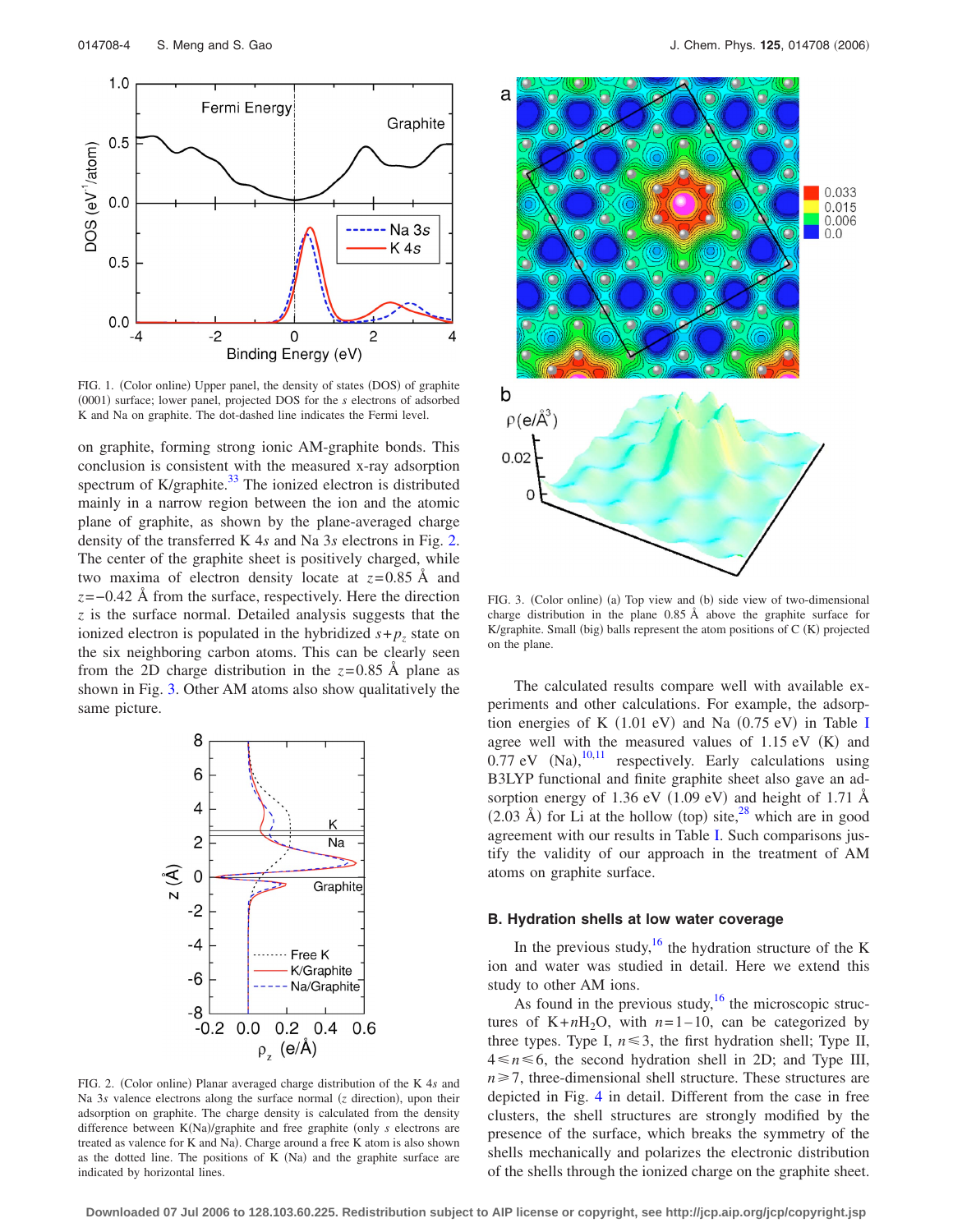<span id="page-3-0"></span>

FIG. 1. (Color online) Upper panel, the density of states (DOS) of graphite (0001) surface; lower panel, projected DOS for the *s* electrons of adsorbed K and Na on graphite. The dot-dashed line indicates the Fermi level.

on graphite, forming strong ionic AM-graphite bonds. This conclusion is consistent with the measured x-ray adsorption spectrum of K/graphite.<sup>33</sup> The ionized electron is distributed mainly in a narrow region between the ion and the atomic plane of graphite, as shown by the plane-averaged charge density of the transferred K 4*s* and Na 3*s* electrons in Fig. 2. The center of the graphite sheet is positively charged, while two maxima of electron density locate at  $z=0.85$  Å and *z*=−0.42 Å from the surface, respectively. Here the direction *z* is the surface normal. Detailed analysis suggests that the ionized electron is populated in the hybridized  $s + p_z$  state on the six neighboring carbon atoms. This can be clearly seen from the 2D charge distribution in the  $z=0.85$  Å plane as shown in Fig. 3. Other AM atoms also show qualitatively the same picture.



FIG. 2. (Color online) Planar averaged charge distribution of the K 4s and Na 3s valence electrons along the surface normal (z direction), upon their adsorption on graphite. The charge density is calculated from the density difference between K(Na)/graphite and free graphite (only *s* electrons are treated as valence for K and Na). Charge around a free K atom is also shown as the dotted line. The positions of  $K(Na)$  and the graphite surface are indicated by horizontal lines.



FIG. 3. (Color online) (a) Top view and (b) side view of two-dimensional charge distribution in the plane 0.85 Å above the graphite surface for K/graphite. Small (big) balls represent the atom positions of C (K) projected on the plane.

The calculated results compare well with available experiments and other calculations. For example, the adsorption energies of K  $(1.01 \text{ eV})$  and Na  $(0.75 \text{ eV})$  in Table [I](#page-2-0) agree well with the measured values of  $1.15$  eV (K) and  $0.77$  eV (Na), $^{10,11}$  $^{10,11}$  $^{10,11}$  respectively. Early calculations using B3LYP functional and finite graphite sheet also gave an adsorption energy of 1.36 eV  $(1.09 \text{ eV})$  and height of 1.71 Å  $(2.03 \text{ Å})$  for Li at the hollow (top) site,<sup>28</sup> which are in good agreement with our results in Table [I.](#page-2-0) Such comparisons justify the validity of our approach in the treatment of AM atoms on graphite surface.

### **B. Hydration shells at low water coverage**

In the previous study,<sup>16</sup> the hydration structure of the K ion and water was studied in detail. Here we extend this study to other AM ions.

As found in the previous study, $16$  the microscopic structures of  $K+nH_2O$ , with  $n=1-10$ , can be categorized by three types. Type I,  $n \le 3$ , the first hydration shell; Type II,  $4 \le n \le 6$ , the second hydration shell in 2D; and Type III,  $n \ge 7$ , three-dimensional shell structure. These structures are depicted in Fig. [4](#page-4-0) in detail. Different from the case in free clusters, the shell structures are strongly modified by the presence of the surface, which breaks the symmetry of the shells mechanically and polarizes the electronic distribution of the shells through the ionized charge on the graphite sheet.

**Downloaded 07 Jul 2006 to 128.103.60.225. Redistribution subject to AIP license or copyright, see http://jcp.aip.org/jcp/copyright.jsp**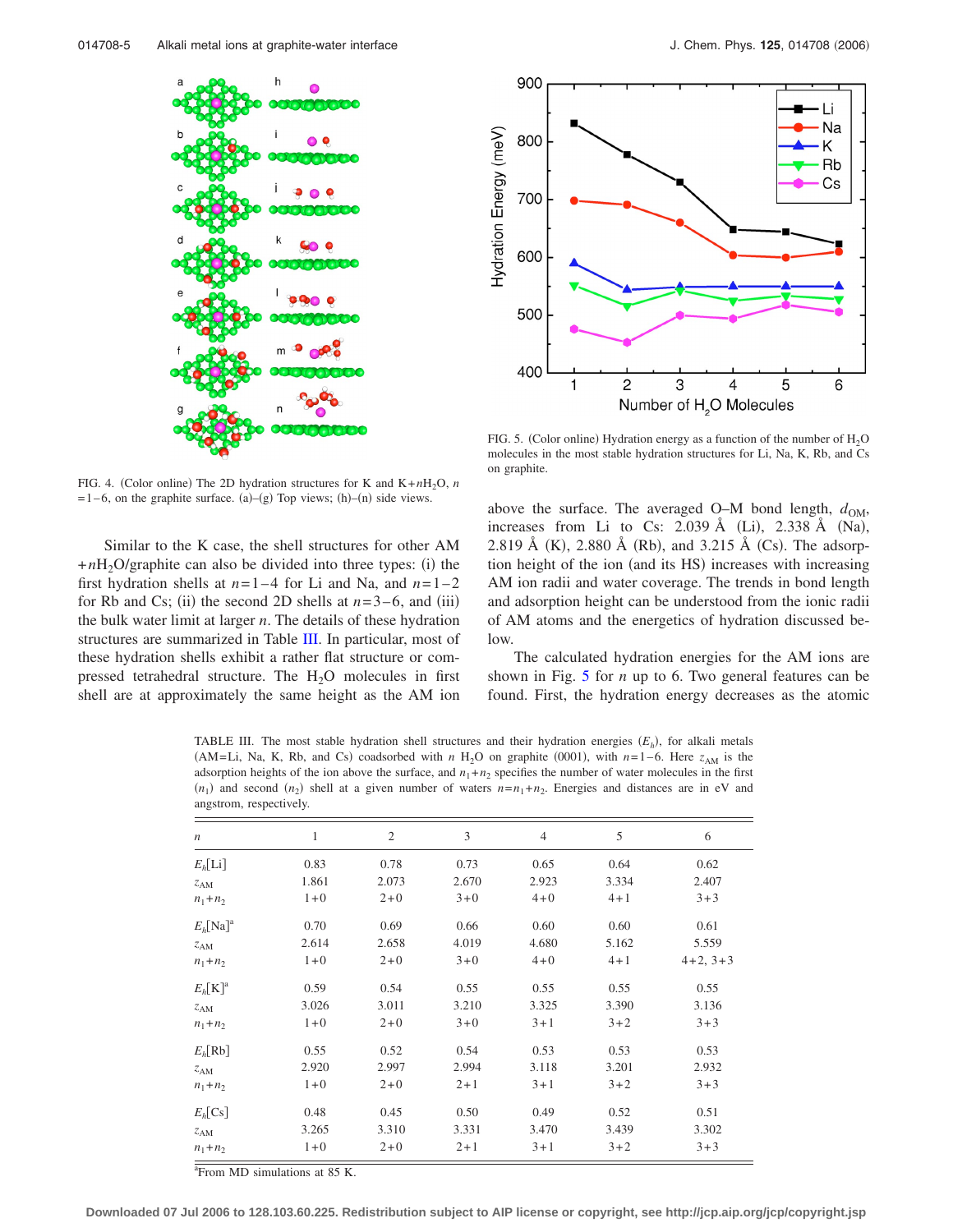<span id="page-4-0"></span>

FIG. 4. (Color online) The 2D hydration structures for K and  $K+nH_2O$ , *n*  $= 1-6$ , on the graphite surface. (a)–(g) Top views; (h)–(n) side views.

Similar to the K case, the shell structures for other AM  $+nH_2O$ /graphite can also be divided into three types: (i) the first hydration shells at  $n=1-4$  for Li and Na, and  $n=1-2$ for Rb and Cs; (ii) the second 2D shells at  $n=3-6$ , and (iii) the bulk water limit at larger *n*. The details of these hydration structures are summarized in Table III. In particular, most of these hydration shells exhibit a rather flat structure or compressed tetrahedral structure. The  $H<sub>2</sub>O$  molecules in first shell are at approximately the same height as the AM ion



FIG. 5. (Color online) Hydration energy as a function of the number of  $H_2O$ molecules in the most stable hydration structures for Li, Na, K, Rb, and Cs on graphite.

above the surface. The averaged O–M bond length,  $d_{OM}$ , increases from Li to Cs: 2.039 Å (Li), 2.338 Å (Na), 2.819 Å (K), 2.880 Å (Rb), and 3.215 Å (Cs). The adsorption height of the ion (and its HS) increases with increasing AM ion radii and water coverage. The trends in bond length and adsorption height can be understood from the ionic radii of AM atoms and the energetics of hydration discussed below.

The calculated hydration energies for the AM ions are shown in Fig. 5 for *n* up to 6. Two general features can be found. First, the hydration energy decreases as the atomic

TABLE III. The most stable hydration shell structures and their hydration energies  $(E_h)$ , for alkali metals (AM=Li, Na, K, Rb, and Cs) coadsorbed with *n* H<sub>2</sub>O on graphite (0001), with  $n=1-6$ . Here  $z_{AM}$  is the adsorption heights of the ion above the surface, and  $n_1 + n_2$  specifies the number of water molecules in the first  $(n_1)$  and second  $(n_2)$  shell at a given number of waters  $n=n_1+n_2$ . Energies and distances are in eV and angstrom, respectively.

| $\boldsymbol{n}$    | 1       | $\mathfrak{2}$ | 3       | $\overline{4}$ | 5       | 6          |
|---------------------|---------|----------------|---------|----------------|---------|------------|
| $E_h[L_i]$          | 0.83    | 0.78           | 0.73    | 0.65           | 0.64    | 0.62       |
| z <sub>AM</sub>     | 1.861   | 2.073          | 2.670   | 2.923          | 3.334   | 2.407      |
| $n_1+n_2$           | $1 + 0$ | $2 + 0$        | $3 + 0$ | $4 + 0$        | $4 + 1$ | $3 + 3$    |
| $E_h[\text{Na}]^a$  | 0.70    | 0.69           | 0.66    | 0.60           | 0.60    | 0.61       |
| z <sub>AM</sub>     | 2.614   | 2.658          | 4.019   | 4.680          | 5.162   | 5.559      |
| $n_1 + n_2$         | $1 + 0$ | $2 + 0$        | $3 + 0$ | $4 + 0$        | $4 + 1$ | $4+2, 3+3$ |
| $E_h[\mathrm{K}]^a$ | 0.59    | 0.54           | 0.55    | 0.55           | 0.55    | 0.55       |
| z <sub>AM</sub>     | 3.026   | 3.011          | 3.210   | 3.325          | 3.390   | 3.136      |
| $n_1+n_2$           | $1 + 0$ | $2 + 0$        | $3 + 0$ | $3 + 1$        | $3 + 2$ | $3 + 3$    |
| $E_h[Rb]$           | 0.55    | 0.52           | 0.54    | 0.53           | 0.53    | 0.53       |
| z <sub>AM</sub>     | 2.920   | 2.997          | 2.994   | 3.118          | 3.201   | 2.932      |
| $n_1+n_2$           | $1 + 0$ | $2 + 0$        | $2 + 1$ | $3 + 1$        | $3 + 2$ | $3 + 3$    |
| $E_h$ [Cs]          | 0.48    | 0.45           | 0.50    | 0.49           | 0.52    | 0.51       |
| z <sub>AM</sub>     | 3.265   | 3.310          | 3.331   | 3.470          | 3.439   | 3.302      |
| $n_1+n_2$           | $1 + 0$ | $2 + 0$        | $2 + 1$ | $3 + 1$        | $3 + 2$ | $3 + 3$    |

<sup>a</sup> From MD simulations at 85 K.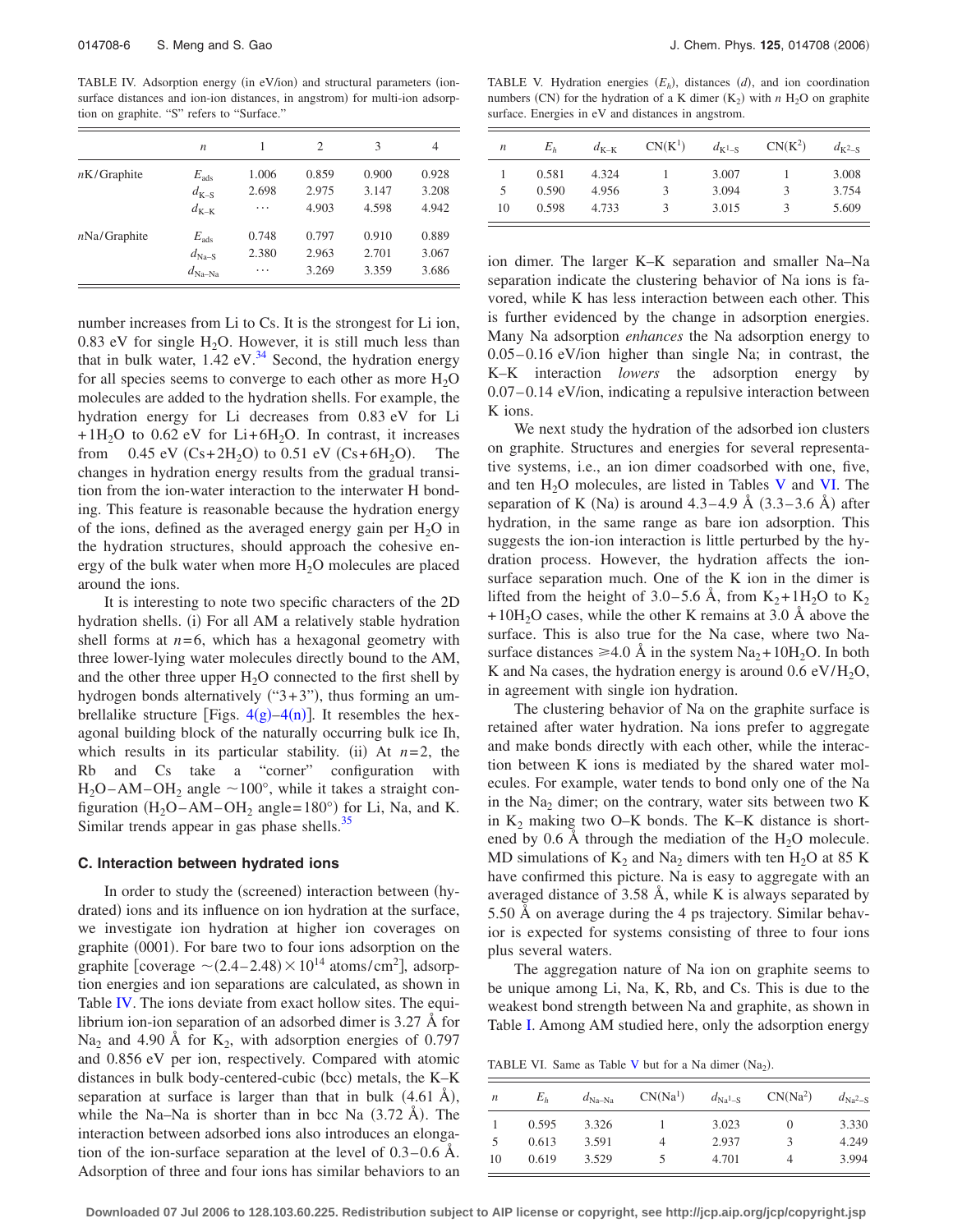TABLE IV. Adsorption energy (in eV/ion) and structural parameters (ionsurface distances and ion-ion distances, in angstrom) for multi-ion adsorption on graphite. "S" refers to "Surface."

|                | $\boldsymbol{n}$   |       | 2     | 3     | 4     |
|----------------|--------------------|-------|-------|-------|-------|
| $nK/G$ raphite | $E_{\rm ads}$      | 1.006 | 0.859 | 0.900 | 0.928 |
|                | $d_{K-S}$          | 2.698 | 2.975 | 3.147 | 3.208 |
|                | $d_{K-K}$          | .     | 4.903 | 4.598 | 4.942 |
| nNa/Graphite   | $E_{\rm ads}$      | 0.748 | 0.797 | 0.910 | 0.889 |
|                | $d_{\text{Na-S}}$  | 2.380 | 2.963 | 2.701 | 3.067 |
|                | $d_{\text{Na-Na}}$ | .     | 3.269 | 3.359 | 3.686 |

number increases from Li to Cs. It is the strongest for Li ion, 0.83 eV for single  $H_2O$ . However, it is still much less than that in bulk water,  $1.42$  eV.<sup>34</sup> Second, the hydration energy for all species seems to converge to each other as more  $H_2O$ molecules are added to the hydration shells. For example, the hydration energy for Li decreases from 0.83 eV for Li  $+1H<sub>2</sub>O$  to 0.62 eV for Li+6H<sub>2</sub>O. In contrast, it increases from 0.45 eV  $(Cs+2H_2O)$  to 0.51 eV  $(Cs+6H_2O)$ . The changes in hydration energy results from the gradual transition from the ion-water interaction to the interwater H bonding. This feature is reasonable because the hydration energy of the ions, defined as the averaged energy gain per  $H_2O$  in the hydration structures, should approach the cohesive energy of the bulk water when more  $H_2O$  molecules are placed around the ions.

It is interesting to note two specific characters of the 2D hydration shells. (i) For all AM a relatively stable hydration shell forms at  $n=6$ , which has a hexagonal geometry with three lower-lying water molecules directly bound to the AM, and the other three upper  $H_2O$  connected to the first shell by hydrogen bonds alternatively  $("3+3")$ , thus forming an umbrellalike structure [Figs.  $4(g)-4(n)$  $4(g)-4(n)$ ]. It resembles the hexagonal building block of the naturally occurring bulk ice Ih, which results in its particular stability. (ii) At  $n=2$ , the Rb and Cs take a "corner" configuration with  $H_2O-AM-OH_2$  angle  $\sim 100^\circ$ , while it takes a straight configuration (H<sub>2</sub>O–AM–OH<sub>2</sub> angle=180°) for Li, Na, and K. Similar trends appear in gas phase shells. $35$ 

# **C. Interaction between hydrated ions**

In order to study the (screened) interaction between (hydrated) ions and its influence on ion hydration at the surface, we investigate ion hydration at higher ion coverages on graphite (0001). For bare two to four ions adsorption on the graphite [coverage  $\sim$  (2.4–2.48)  $\times$  10<sup>14</sup> atoms/cm<sup>2</sup>], adsorption energies and ion separations are calculated, as shown in Table IV. The ions deviate from exact hollow sites. The equilibrium ion-ion separation of an adsorbed dimer is 3.27 Å for Na<sub>2</sub> and 4.90 Å for  $K_2$ , with adsorption energies of 0.797 and 0.856 eV per ion, respectively. Compared with atomic distances in bulk body-centered-cubic (bcc) metals, the K-K separation at surface is larger than that in bulk  $(4.61 \text{ Å})$ , while the Na–Na is shorter than in bcc Na  $(3.72 \text{ Å})$ . The interaction between adsorbed ions also introduces an elongation of the ion-surface separation at the level of  $0.3-0.6$  Å. Adsorption of three and four ions has similar behaviors to an

TABLE V. Hydration energies  $(E_h)$ , distances  $(d)$ , and ion coordination numbers (CN) for the hydration of a K dimer  $(K_2)$  with *n* H<sub>2</sub>O on graphite surface. Energies in eV and distances in angstrom.

| n  | $E_h$ | $d_{K-K}$ | $CN(K^1)$     | $d_{K^1-S}$ | $CN(K^2)$ | $d_{K^2-S}$ |
|----|-------|-----------|---------------|-------------|-----------|-------------|
|    | 0.581 | 4.324     |               | 3.007       |           | 3.008       |
| 5  | 0.590 | 4.956     | κ             | 3.094       | 3         | 3.754       |
| 10 | 0.598 | 4.733     | $\mathcal{R}$ | 3.015       | 3         | 5.609       |

ion dimer. The larger K–K separation and smaller Na–Na separation indicate the clustering behavior of Na ions is favored, while K has less interaction between each other. This is further evidenced by the change in adsorption energies. Many Na adsorption *enhances* the Na adsorption energy to 0.05– 0.16 eV/ion higher than single Na; in contrast, the K–K interaction *lowers* the adsorption energy by 0.07–0.14 eV/ion, indicating a repulsive interaction between K ions.

We next study the hydration of the adsorbed ion clusters on graphite. Structures and energies for several representative systems, i.e., an ion dimer coadsorbed with one, five, and ten  $H_2O$  molecules, are listed in Tables V and VI. The separation of K (Na) is around  $4.3-4.9$  Å  $(3.3-3.6$  Å) after hydration, in the same range as bare ion adsorption. This suggests the ion-ion interaction is little perturbed by the hydration process. However, the hydration affects the ionsurface separation much. One of the K ion in the dimer is lifted from the height of 3.0–5.6 Å, from  $K_2+1H_2O$  to  $K_2$  $+10H<sub>2</sub>O$  cases, while the other K remains at 3.0 Å above the surface. This is also true for the Na case, where two Nasurface distances  $\geq 4.0$  Å in the system Na<sub>2</sub>+10H<sub>2</sub>O. In both K and Na cases, the hydration energy is around  $0.6 \text{ eV/H}_2\text{O}$ , in agreement with single ion hydration.

The clustering behavior of Na on the graphite surface is retained after water hydration. Na ions prefer to aggregate and make bonds directly with each other, while the interaction between K ions is mediated by the shared water molecules. For example, water tends to bond only one of the Na in the  $Na<sub>2</sub>$  dimer; on the contrary, water sits between two K in  $K_2$  making two O–K bonds. The K–K distance is shortened by 0.6 Å through the mediation of the  $H_2O$  molecule. MD simulations of  $K_2$  and Na<sub>2</sub> dimers with ten H<sub>2</sub>O at 85 K have confirmed this picture. Na is easy to aggregate with an averaged distance of 3.58 Å, while K is always separated by 5.50 Å on average during the 4 ps trajectory. Similar behavior is expected for systems consisting of three to four ions plus several waters.

The aggregation nature of Na ion on graphite seems to be unique among Li, Na, K, Rb, and Cs. This is due to the weakest bond strength between Na and graphite, as shown in Table [I.](#page-2-0) Among AM studied here, only the adsorption energy

TABLE VI. Same as Table V but for a Na dimer  $(Na<sub>2</sub>)$ .

| п  | $E_h$ | $d_{\text{Na-Na}}$ | $CN(Na^1)$ | $d_{\rm Na}$ <sub>1-S</sub> | $CN(Na^2)$ | $d_{\text{Na}^2-\text{S}}$ |
|----|-------|--------------------|------------|-----------------------------|------------|----------------------------|
|    | 0.595 | 3.326              |            | 3.023                       | $\theta$   | 3.330                      |
| 5  | 0.613 | 3.591              | 4          | 2.937                       |            | 4.249                      |
| 10 | 0.619 | 3.529              | 5          | 4.701                       | 4          | 3.994                      |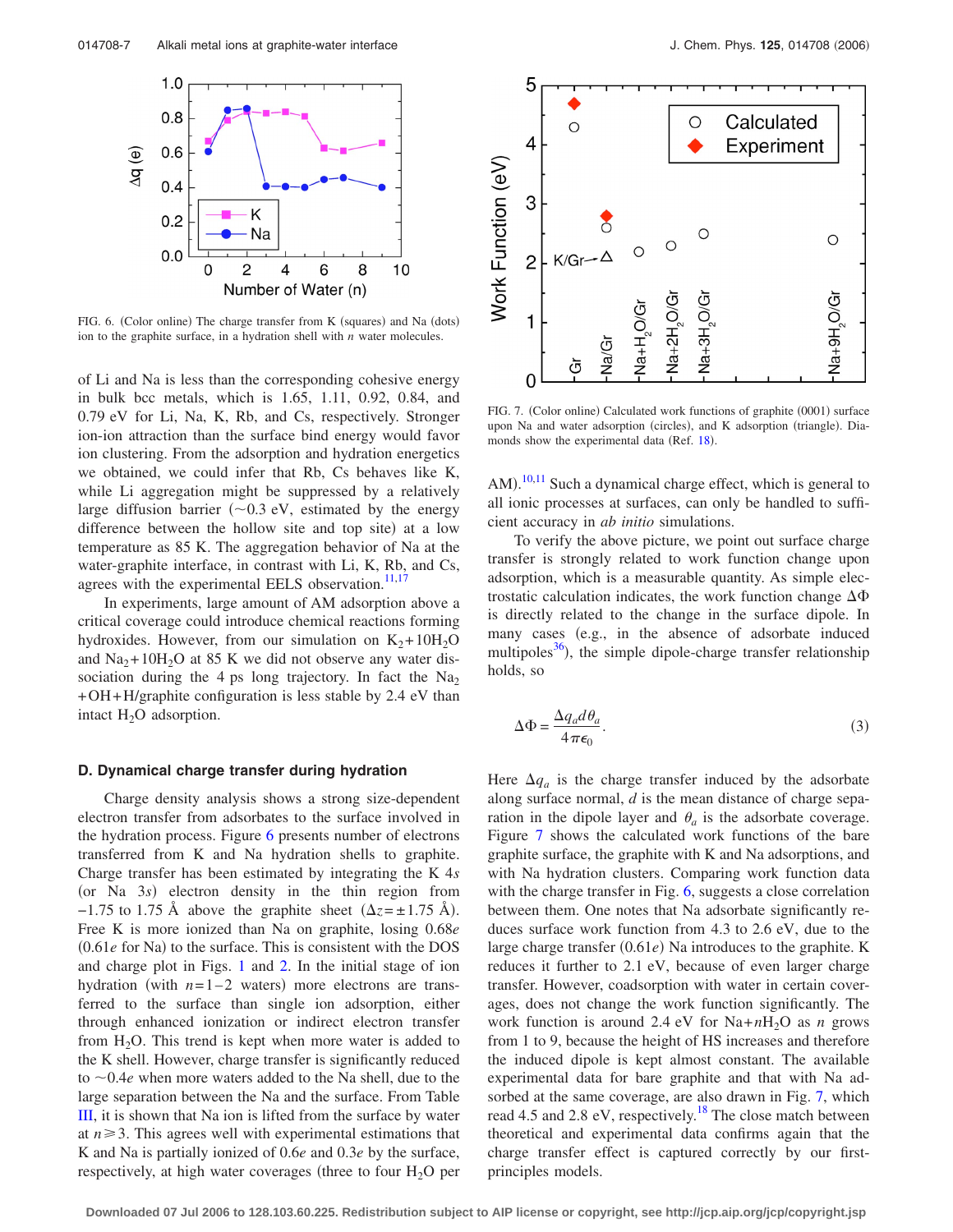

FIG. 6. (Color online) The charge transfer from K (squares) and Na (dots) ion to the graphite surface, in a hydration shell with *n* water molecules.

of Li and Na is less than the corresponding cohesive energy in bulk bcc metals, which is 1.65, 1.11, 0.92, 0.84, and 0.79 eV for Li, Na, K, Rb, and Cs, respectively. Stronger ion-ion attraction than the surface bind energy would favor ion clustering. From the adsorption and hydration energetics we obtained, we could infer that Rb, Cs behaves like K, while Li aggregation might be suppressed by a relatively large diffusion barrier  $(\sim 0.3 \text{ eV})$ , estimated by the energy difference between the hollow site and top site) at a low temperature as 85 K. The aggregation behavior of Na at the water-graphite interface, in contrast with Li, K, Rb, and Cs, agrees with the experimental EELS observation. $11,17$ 

In experiments, large amount of AM adsorption above a critical coverage could introduce chemical reactions forming hydroxides. However, from our simulation on  $K_2+10H_2O$ and  $Na<sub>2</sub>+10H<sub>2</sub>O$  at 85 K we did not observe any water dissociation during the 4 ps long trajectory. In fact the  $Na<sub>2</sub>$ +OH+H/graphite configuration is less stable by 2.4 eV than intact  $H_2O$  adsorption.

## **D. Dynamical charge transfer during hydration**

Charge density analysis shows a strong size-dependent electron transfer from adsorbates to the surface involved in the hydration process. Figure 6 presents number of electrons transferred from K and Na hydration shells to graphite. Charge transfer has been estimated by integrating the K 4*s* (or Na 3s) electron density in the thin region from  $-1.75$  to 1.75 Å above the graphite sheet  $(\Delta z = \pm 1.75$  Å). Free K is more ionized than Na on graphite, losing 0.68*e* (0.61*e* for Na) to the surface. This is consistent with the DOS and charge plot in Figs. [1](#page-3-0) and [2.](#page-3-0) In the initial stage of ion hydration (with  $n=1-2$  waters) more electrons are transferred to the surface than single ion adsorption, either through enhanced ionization or indirect electron transfer from  $H_2O$ . This trend is kept when more water is added to the K shell. However, charge transfer is significantly reduced to  $\sim 0.4e$  when more waters added to the Na shell, due to the large separation between the Na and the surface. From Table [III,](#page-4-0) it is shown that Na ion is lifted from the surface by water at  $n \geq 3$ . This agrees well with experimental estimations that K and Na is partially ionized of 0.6*e* and 0.3*e* by the surface, respectively, at high water coverages (three to four  $H_2O$  per



FIG. 7. (Color online) Calculated work functions of graphite (0001) surface upon Na and water adsorption (circles), and K adsorption (triangle). Dia-monds show the experimental data (Ref. [18](#page-9-0)).

AM).<sup>[10,11](#page-9-0)</sup> Such a dynamical charge effect, which is general to all ionic processes at surfaces, can only be handled to sufficient accuracy in *ab initio* simulations.

To verify the above picture, we point out surface charge transfer is strongly related to work function change upon adsorption, which is a measurable quantity. As simple electrostatic calculation indicates, the work function change  $\Delta\Phi$ is directly related to the change in the surface dipole. In many cases (e.g., in the absence of adsorbate induced multipoles $^{36}$ ), the simple dipole-charge transfer relationship holds, so

$$
\Delta \Phi = \frac{\Delta q_a d\theta_a}{4\pi\epsilon_0}.
$$
\n(3)

Here  $\Delta q_a$  is the charge transfer induced by the adsorbate along surface normal, *d* is the mean distance of charge separation in the dipole layer and  $\theta_a$  is the adsorbate coverage. Figure 7 shows the calculated work functions of the bare graphite surface, the graphite with K and Na adsorptions, and with Na hydration clusters. Comparing work function data with the charge transfer in Fig. 6, suggests a close correlation between them. One notes that Na adsorbate significantly reduces surface work function from 4.3 to 2.6 eV, due to the large charge transfer (0.61*e*) Na introduces to the graphite. K reduces it further to 2.1 eV, because of even larger charge transfer. However, coadsorption with water in certain coverages, does not change the work function significantly. The work function is around 2.4 eV for  $Na+nH<sub>2</sub>O$  as *n* grows from 1 to 9, because the height of HS increases and therefore the induced dipole is kept almost constant. The available experimental data for bare graphite and that with Na adsorbed at the same coverage, are also drawn in Fig. 7, which read 4.5 and 2.8 eV, respectively.<sup>18</sup> The close match between theoretical and experimental data confirms again that the charge transfer effect is captured correctly by our firstprinciples models.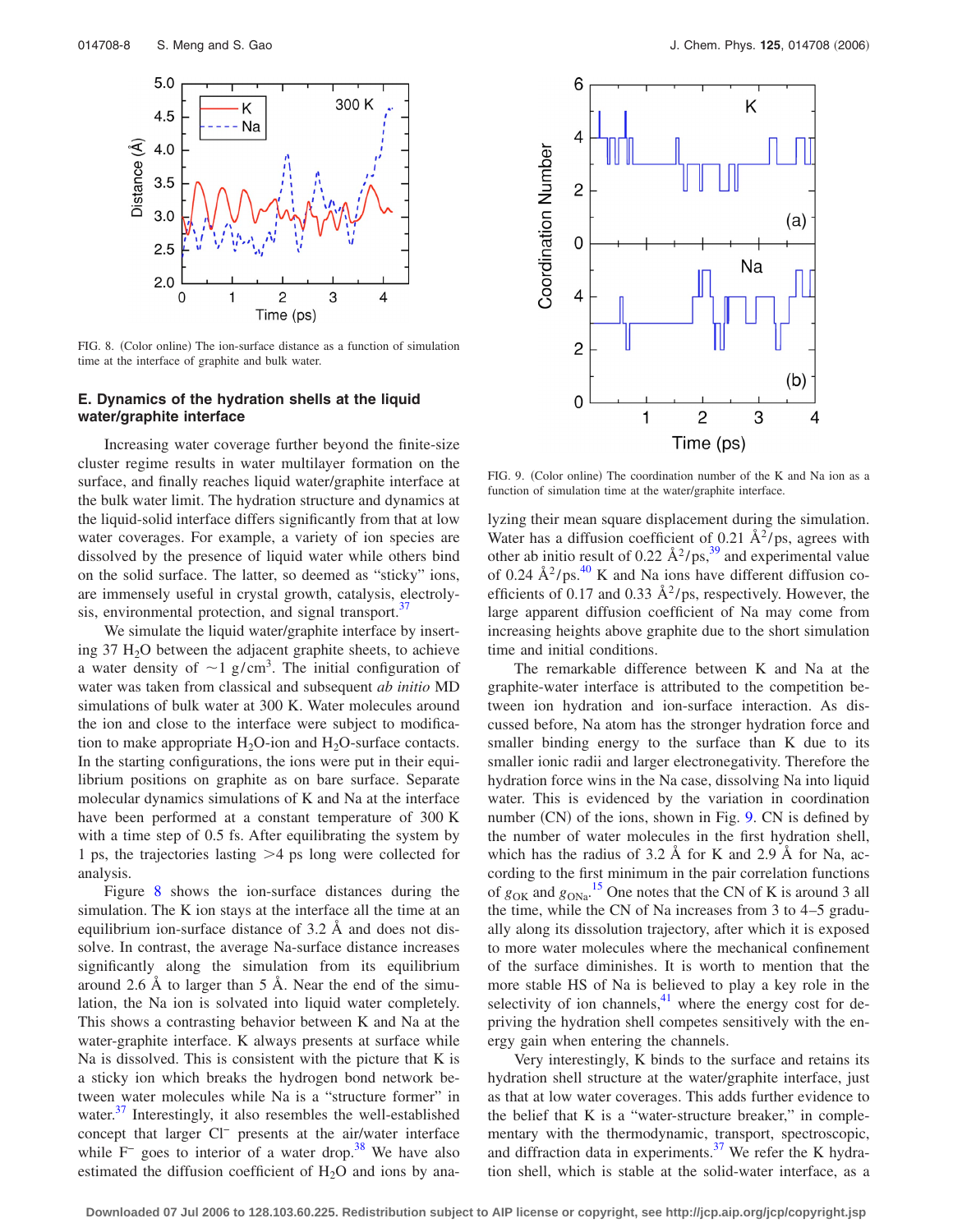<span id="page-7-0"></span>

FIG. 8. (Color online) The ion-surface distance as a function of simulation time at the interface of graphite and bulk water.

## **E. Dynamics of the hydration shells at the liquid water/graphite interface**

Increasing water coverage further beyond the finite-size cluster regime results in water multilayer formation on the surface, and finally reaches liquid water/graphite interface at the bulk water limit. The hydration structure and dynamics at the liquid-solid interface differs significantly from that at low water coverages. For example, a variety of ion species are dissolved by the presence of liquid water while others bind on the solid surface. The latter, so deemed as "sticky" ions, are immensely useful in crystal growth, catalysis, electrolysis, environmental protection, and signal transport. $37$ 

We simulate the liquid water/graphite interface by inserting  $37 \text{ H}_2\text{O}$  between the adjacent graphite sheets, to achieve a water density of  $\sim$ 1 g/cm<sup>3</sup>. The initial configuration of water was taken from classical and subsequent *ab initio* MD simulations of bulk water at 300 K. Water molecules around the ion and close to the interface were subject to modification to make appropriate  $H_2O$ -ion and  $H_2O$ -surface contacts. In the starting configurations, the ions were put in their equilibrium positions on graphite as on bare surface. Separate molecular dynamics simulations of K and Na at the interface have been performed at a constant temperature of 300 K with a time step of 0.5 fs. After equilibrating the system by 1 ps, the trajectories lasting 4 ps long were collected for analysis.

Figure 8 shows the ion-surface distances during the simulation. The K ion stays at the interface all the time at an equilibrium ion-surface distance of 3.2 Å and does not dissolve. In contrast, the average Na-surface distance increases significantly along the simulation from its equilibrium around 2.6 Å to larger than 5 Å. Near the end of the simulation, the Na ion is solvated into liquid water completely. This shows a contrasting behavior between K and Na at the water-graphite interface. K always presents at surface while Na is dissolved. This is consistent with the picture that K is a sticky ion which breaks the hydrogen bond network between water molecules while Na is a "structure former" in water. $37$  Interestingly, it also resembles the well-established concept that larger Cl− presents at the air/water interface while  $F^-$  goes to interior of a water drop.<sup>38</sup> We have also estimated the diffusion coefficient of  $H<sub>2</sub>O$  and ions by ana-



FIG. 9. (Color online) The coordination number of the K and Na ion as a function of simulation time at the water/graphite interface.

lyzing their mean square displacement during the simulation. Water has a diffusion coefficient of 0.21  $\AA^2$ /ps, agrees with other ab initio result of 0.22  $\AA^2/\text{ps}$ ,<sup>39</sup> and experimental value of 0.24  $\rm \AA^2/ps$ .<sup>40</sup> K and Na ions have different diffusion coefficients of 0.17 and 0.33  $\AA^2$ /ps, respectively. However, the large apparent diffusion coefficient of Na may come from increasing heights above graphite due to the short simulation time and initial conditions.

The remarkable difference between K and Na at the graphite-water interface is attributed to the competition between ion hydration and ion-surface interaction. As discussed before, Na atom has the stronger hydration force and smaller binding energy to the surface than K due to its smaller ionic radii and larger electronegativity. Therefore the hydration force wins in the Na case, dissolving Na into liquid water. This is evidenced by the variation in coordination number (CN) of the ions, shown in Fig. 9. CN is defined by the number of water molecules in the first hydration shell, which has the radius of  $3.2 \text{ Å}$  for K and  $2.9 \text{ Å}$  for Na, according to the first minimum in the pair correlation functions of  $g_{\text{OK}}$  and  $g_{\text{ONa}}$ .<sup>[15](#page-9-0)</sup> One notes that the CN of K is around 3 all the time, while the CN of Na increases from 3 to 4–5 gradually along its dissolution trajectory, after which it is exposed to more water molecules where the mechanical confinement of the surface diminishes. It is worth to mention that the more stable HS of Na is believed to play a key role in the selectivity of ion channels, $\frac{41}{1}$  where the energy cost for depriving the hydration shell competes sensitively with the energy gain when entering the channels.

Very interestingly, K binds to the surface and retains its hydration shell structure at the water/graphite interface, just as that at low water coverages. This adds further evidence to the belief that K is a "water-structure breaker," in complementary with the thermodynamic, transport, spectroscopic, and diffraction data in experiments.<sup>37</sup> We refer the K hydration shell, which is stable at the solid-water interface, as a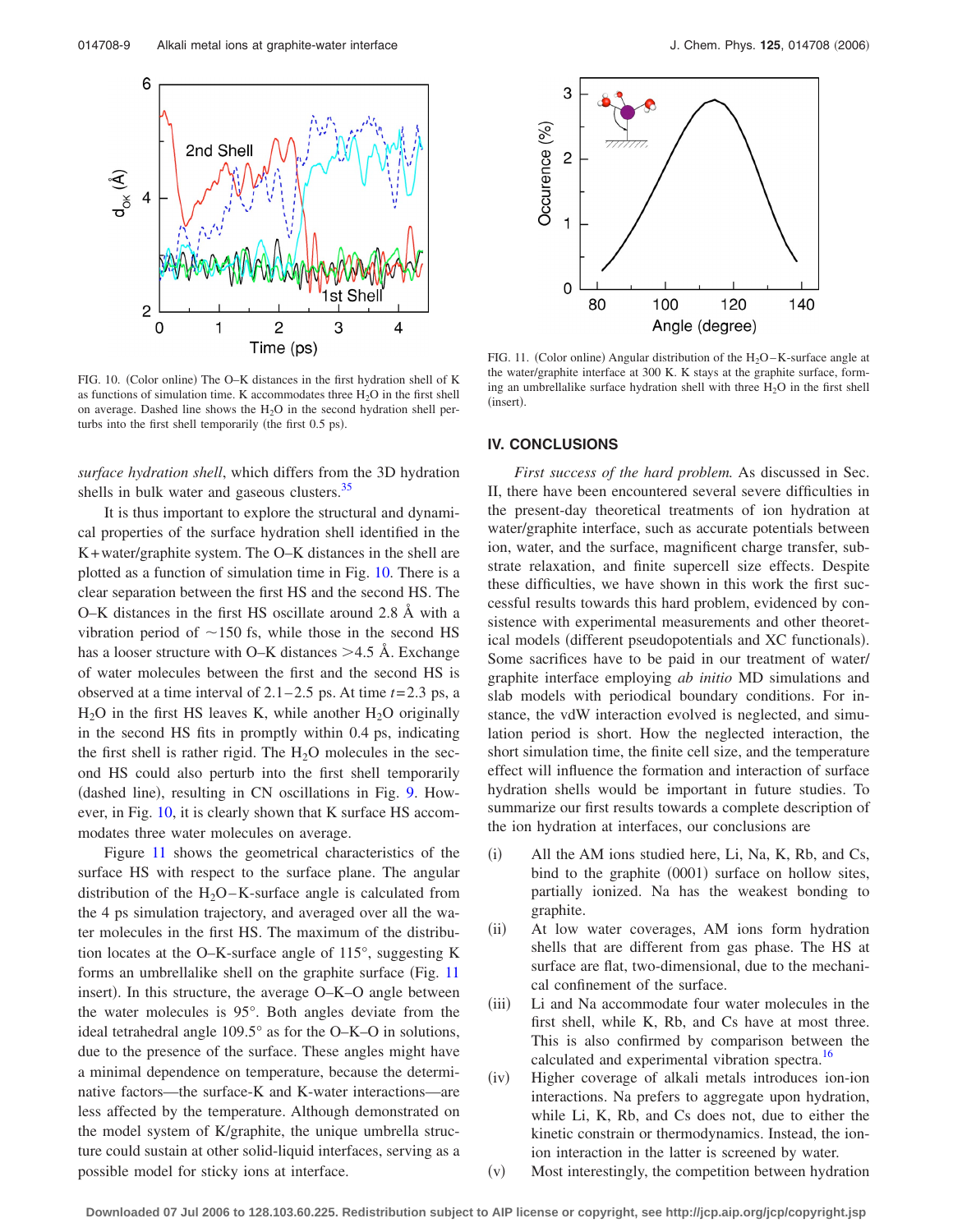

FIG. 10. (Color online) The O-K distances in the first hydration shell of K as functions of simulation time. K accommodates three  $H_2O$  in the first shell on average. Dashed line shows the  $H_2O$  in the second hydration shell perturbs into the first shell temporarily (the first 0.5 ps).

*surface hydration shell*, which differs from the 3D hydration shells in bulk water and gaseous clusters.<sup>35</sup>

It is thus important to explore the structural and dynamical properties of the surface hydration shell identified in the K+water/graphite system. The O–K distances in the shell are plotted as a function of simulation time in Fig. 10. There is a clear separation between the first HS and the second HS. The O–K distances in the first HS oscillate around 2.8 Å with a vibration period of  $\sim$ 150 fs, while those in the second HS has a looser structure with O–K distances >4.5 Å. Exchange of water molecules between the first and the second HS is observed at a time interval of  $2.1 - 2.5$  ps. At time  $t = 2.3$  ps, a  $H<sub>2</sub>O$  in the first HS leaves K, while another  $H<sub>2</sub>O$  originally in the second HS fits in promptly within 0.4 ps, indicating the first shell is rather rigid. The  $H_2O$  molecules in the second HS could also perturb into the first shell temporarily (dashed line), resulting in CN oscillations in Fig. [9.](#page-7-0) However, in Fig. 10, it is clearly shown that K surface HS accommodates three water molecules on average.

Figure 11 shows the geometrical characteristics of the surface HS with respect to the surface plane. The angular distribution of the  $H_2O-K$ -surface angle is calculated from the 4 ps simulation trajectory, and averaged over all the water molecules in the first HS. The maximum of the distribution locates at the O–K-surface angle of 115°, suggesting K forms an umbrellalike shell on the graphite surface (Fig. 11 insert). In this structure, the average O–K–O angle between the water molecules is 95°. Both angles deviate from the ideal tetrahedral angle 109.5° as for the O–K–O in solutions, due to the presence of the surface. These angles might have a minimal dependence on temperature, because the determinative factors—the surface-K and K-water interactions—are less affected by the temperature. Although demonstrated on the model system of K/graphite, the unique umbrella structure could sustain at other solid-liquid interfaces, serving as a possible model for sticky ions at interface.



FIG. 11. (Color online) Angular distribution of the  $H_2O - K$ -surface angle at the water/graphite interface at 300 K. K stays at the graphite surface, forming an umbrellalike surface hydration shell with three  $H_2O$  in the first shell (insert).

## **IV. CONCLUSIONS**

*First success of the hard problem.* As discussed in Sec. II, there have been encountered several severe difficulties in the present-day theoretical treatments of ion hydration at water/graphite interface, such as accurate potentials between ion, water, and the surface, magnificent charge transfer, substrate relaxation, and finite supercell size effects. Despite these difficulties, we have shown in this work the first successful results towards this hard problem, evidenced by consistence with experimental measurements and other theoretical models (different pseudopotentials and XC functionals). Some sacrifices have to be paid in our treatment of water/ graphite interface employing *ab initio* MD simulations and slab models with periodical boundary conditions. For instance, the vdW interaction evolved is neglected, and simulation period is short. How the neglected interaction, the short simulation time, the finite cell size, and the temperature effect will influence the formation and interaction of surface hydration shells would be important in future studies. To summarize our first results towards a complete description of the ion hydration at interfaces, our conclusions are

- $(i)$  All the AM ions studied here, Li, Na, K, Rb, and Cs, bind to the graphite (0001) surface on hollow sites, partially ionized. Na has the weakest bonding to graphite.
- $(ii)$  At low water coverages, AM ions form hydration shells that are different from gas phase. The HS at surface are flat, two-dimensional, due to the mechanical confinement of the surface.
- $(iii)$  Li and Na accommodate four water molecules in the first shell, while K, Rb, and Cs have at most three. This is also confirmed by comparison between the calculated and experimental vibration spectra.<sup>16</sup>
- $(iv)$  Higher coverage of alkali metals introduces ion-ion interactions. Na prefers to aggregate upon hydration, while Li, K, Rb, and Cs does not, due to either the kinetic constrain or thermodynamics. Instead, the ionion interaction in the latter is screened by water.
- $(v)$ Most interestingly, the competition between hydration